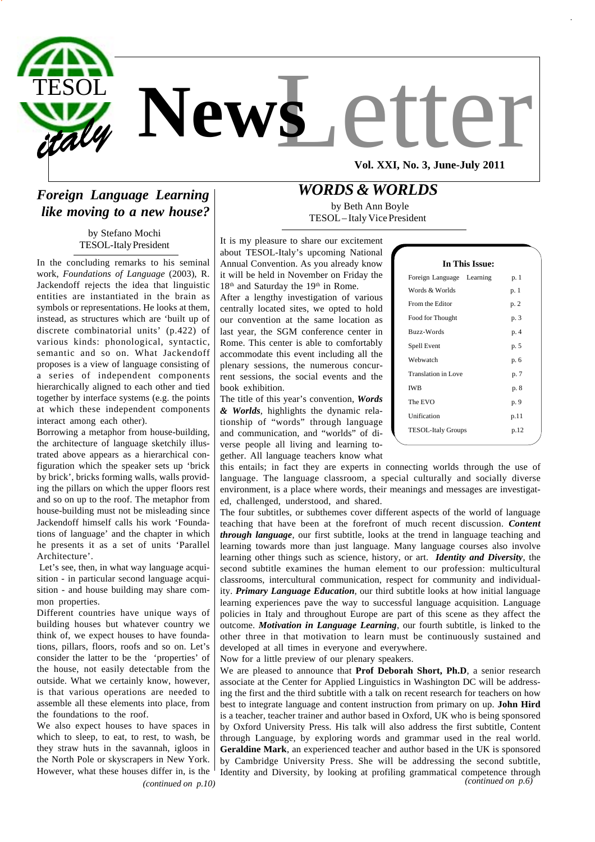

## *Foreign Language Learning like moving to a new house?*

by Stefano Mochi TESOL-Italy President

In the concluding remarks to his seminal work, *Foundations of Language* (2003), R. Jackendoff rejects the idea that linguistic entities are instantiated in the brain as symbols or representations. He looks at them, instead, as structures which are 'built up of discrete combinatorial units' (p.422) of various kinds: phonological, syntactic, semantic and so on. What Jackendoff proposes is a view of language consisting of a series of independent components hierarchically aligned to each other and tied together by interface systems (e.g. the points at which these independent components interact among each other).

Borrowing a metaphor from house-building, the architecture of language sketchily illustrated above appears as a hierarchical configuration which the speaker sets up 'brick by brick', bricks forming walls, walls providing the pillars on which the upper floors rest and so on up to the roof. The metaphor from house-building must not be misleading since Jackendoff himself calls his work 'Foundations of language' and the chapter in which he presents it as a set of units 'Parallel Architecture'.

Let's see, then, in what way language acquisition - in particular second language acquisition - and house building may share common properties.

Different countries have unique ways of building houses but whatever country we think of, we expect houses to have foundations, pillars, floors, roofs and so on. Let's consider the latter to be the 'properties' of the house, not easily detectable from the outside. What we certainly know, however, is that various operations are needed to assemble all these elements into place, from the foundations to the roof.

 *(continued on p.10)* We also expect houses to have spaces in which to sleep, to eat, to rest, to wash, be they straw huts in the savannah, igloos in the North Pole or skyscrapers in New York. However, what these houses differ in, is the

## *WORDS & WORLDS*

 by Beth Ann Boyle TESOL – Italy Vice President

It is my pleasure to share our excitement about TESOL-Italy's upcoming National Annual Convention. As you already know it will be held in November on Friday the 18<sup>th</sup> and Saturday the 19<sup>th</sup> in Rome.

After a lengthy investigation of various centrally located sites, we opted to hold our convention at the same location as last year, the SGM conference center in Rome. This center is able to comfortably accommodate this event including all the plenary sessions, the numerous concurrent sessions, the social events and the book exhibition.

The title of this year's convention, *Words & Worlds*, highlights the dynamic relationship of "words" through language and communication, and "worlds" of diverse people all living and learning together. All language teachers know what

|            | Food for Thought          | p. 3 |  |
|------------|---------------------------|------|--|
|            | Buzz-Words                | p. 4 |  |
|            | Spell Event               | p. 5 |  |
| Webwatch   |                           | p. 6 |  |
|            | Translation in Love       | p. 7 |  |
| <b>IWB</b> |                           | p. 8 |  |
| The EVO    |                           | p. 9 |  |
|            | Unification               | p.11 |  |
|            | <b>TESOL-Italy Groups</b> | p.12 |  |
|            |                           |      |  |

 **In This Issue:** Foreign Language Learning p. 1 Words & Worlds p. 1 From the Editor p. 2

this entails; in fact they are experts in connecting worlds through the use of language. The language classroom, a special culturally and socially diverse environment, is a place where words, their meanings and messages are investigated, challenged, understood, and shared.

The four subtitles, or subthemes cover different aspects of the world of language teaching that have been at the forefront of much recent discussion. *Content through language*, our first subtitle, looks at the trend in language teaching and learning towards more than just language. Many language courses also involve learning other things such as science, history, or art. *Identity and Diversity*, the second subtitle examines the human element to our profession: multicultural classrooms, intercultural communication, respect for community and individuality. *Primary Language Education*, our third subtitle looks at how initial language learning experiences pave the way to successful language acquisition. Language policies in Italy and throughout Europe are part of this scene as they affect the outcome. *Motivation in Language Learning*, our fourth subtitle, is linked to the other three in that motivation to learn must be continuously sustained and developed at all times in everyone and everywhere.

Now for a little preview of our plenary speakers.

We are pleased to announce that **Prof Deborah Short, Ph.D**, a senior research associate at the Center for Applied Linguistics in Washington DC will be addressing the first and the third subtitle with a talk on recent research for teachers on how best to integrate language and content instruction from primary on up. **John Hird** is a teacher, teacher trainer and author based in Oxford, UK who is being sponsored by Oxford University Press. His talk will also address the first subtitle, Content through Language, by exploring words and grammar used in the real world. **Geraldine Mark**, an experienced teacher and author based in the UK is sponsored by Cambridge University Press. She will be addressing the second subtitle, Identity and Diversity, by looking at profiling grammatical competence through  *(continued on p.6)*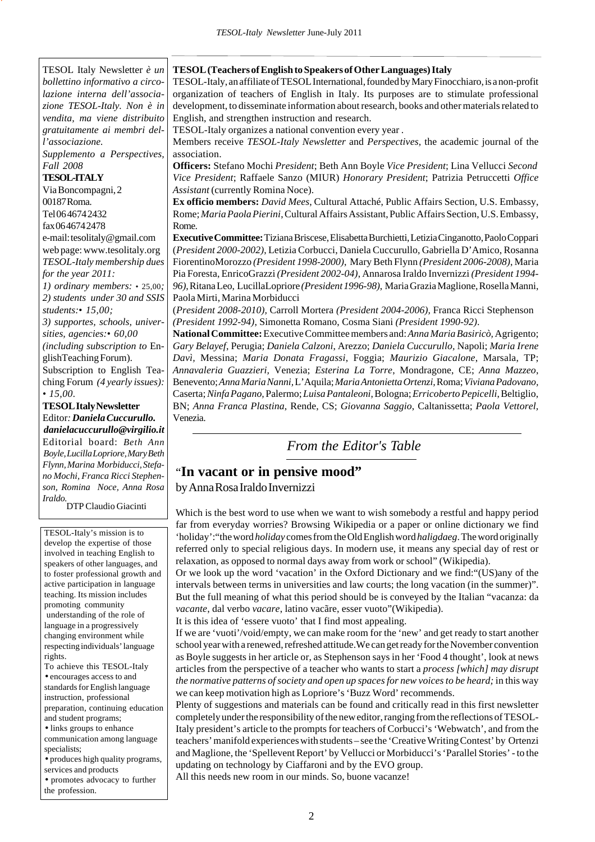TESOL Italy Newsletter *è un bollettino informativo a circolazione interna dell'associazione TESOL-Italy. Non è in vendita, ma viene distribuito gratuitamente ai membri dell'associazione. Supplemento a Perspectives, Fall 2008* **TESOL-ITALY** Via Boncompagni, 2 00187 Roma. Tel 06 4674 2432 fax 06 4674 2478 e-mail: tesolitaly@gmail.com web page: www.tesolitaly.org *TESOL-Italy membership dues for the year 2011: 1) ordinary members:* • 25,00*; 2) students under 30 and SSIS students:• 15,00; 3) supportes, schools, universities, agencies:• 60,00 (including subscription to* EnglishTeaching Forum). Subscription to English Teaching Forum *(4 yearly issues): • 15,00.* **TESOL Italy Newsletter**

Editor*: Daniela Cuccurullo. danielacuccurullo@virgilio.it* Editorial board: *Beth Ann Boyle, Lucilla Lopriore, Mary Beth Flynn, Marina Morbiducci, Stefano Mochi, Franca Ricci Stephenson, Romina Noce, Anna Rosa Iraldo.* DTP Claudio Giacinti

TESOL-Italy's mission is to develop the expertise of those involved in teaching English to speakers of other languages, and to foster professional growth and active participation in language teaching. Its mission includes promoting community understanding of the role of language in a progressively changing environment while respecting individuals' language rights.

To achieve this TESOL-Italy • encourages access to and standards for English language instruction, professional preparation, continuing education

and student programs; • links groups to enhance communication among language specialists;

• produces high quality programs, services and products

• promotes advocacy to further the profession.

#### **TESOL (Teachers of English to Speakers of Other Languages) Italy**

TESOL-Italy, an affiliate of TESOL International, founded by Mary Finocchiaro, is a non-profit organization of teachers of English in Italy. Its purposes are to stimulate professional development, to disseminate information about research, books and other materials related to English, and strengthen instruction and research.

TESOL-Italy organizes a national convention every year .

Members receive *TESOL-Italy Newsletter* and *Perspectives,* the academic journal of the association.

**Officers:** Stefano Mochi *President*; Beth Ann Boyle *Vice President*; Lina Vellucci *Second Vice President*; Raffaele Sanzo (MIUR) *Honorary President*; Patrizia Petruccetti *Office Assistant* (currently Romina Noce).

**Ex officio members:** *David Mees*, Cultural Attaché, Public Affairs Section, U.S. Embassy, Rome; *Maria Paola Pierini*, Cultural Affairs Assistant, Public Affairs Section, U.S. Embassy, Rome.

**Executive Committee:** TizianaBriscese,Elisabetta Burchietti, Letizia Cinganotto, Paolo Coppari (*President 2000-2002)*, Letizia Corbucci, Daniela Cuccurullo, Gabriella D'Amico, Rosanna FiorentinoMorozzo *(President 1998-2000)*, Mary Beth Flynn *(President 2006-2008)*, Maria Pia Foresta, EnricoGrazzi *(President 2002-04)*, Annarosa Iraldo Invernizzi *(President 1994- 96)*,Ritana Leo, LucillaLopriore *(President 1996-98)*, Maria Grazia Maglione, Rosella Manni, Paola Mirti, Marina Morbiducci

(*President 2008-2010),* Carroll Mortera *(President 2004-2006),* Franca Ricci Stephenson *(President 1992-94)*, Simonetta Romano, Cosma Siani *(President 1990-92)*.

**National Committee:** Executive Committee members and: *Anna Maria Basiricò,* Agrigento; *Gary Belayef*, Perugia; *Daniela Calzoni*, Arezzo; *Daniela Cuccurullo,* Napoli; *Maria Irene Davì,* Messina; *Maria Donata Fragassi*, Foggia; *Maurizio Giacalone*, Marsala, TP; *Annavaleria Guazzieri,* Venezia; *Esterina La Torre*, Mondragone, CE; *Anna Mazzeo*, Benevento; *Anna Maria Nanni,* L'Aquila; *Maria Antonietta Ortenzi,* Roma; *Viviana Padovano,* Caserta; *Ninfa Pagano,* Palermo; *Luisa Pantaleoni*, Bologna; *Erricoberto Pepicelli*, Beltiglio, BN; *Anna Franca Plastina*, Rende, CS; *Giovanna Saggio*, Caltanissetta; *Paola Vettorel,* Venezia.

## *From the Editor's Table*

# "**In vacant or in pensive mood"**

by Anna Rosa Iraldo Invernizzi

Which is the best word to use when we want to wish somebody a restful and happy period far from everyday worries? Browsing Wikipedia or a paper or online dictionary we find 'holiday':"the word *holiday* comes from the Old English word *haligdaeg*. The word originally referred only to special religious days. In modern use, it means any special day of rest or relaxation, as opposed to normal days away from work or school" (Wikipedia).

Or we look up the word 'vacation' in the Oxford Dictionary and we find:"(US)any of the intervals between terms in universities and law courts; the long vacation (in the summer)". But the full meaning of what this period should be is conveyed by the Italian "vacanza: da *vacante*, dal verbo *vacare*, latino vacãre, esser vuoto"(Wikipedia).

It is this idea of 'essere vuoto' that I find most appealing.

If we are 'vuoti'/void/empty, we can make room for the 'new' and get ready to start another school year with a renewed, refreshed attitude.We can get ready for the November convention as Boyle suggests in her article or, as Stephenson says in her 'Food 4 thought', look at news articles from the perspective of a teacher who wants to start a *process [which] may disrupt the normative patterns of society and open up spaces for new voices to be heard;* in this way we can keep motivation high as Lopriore's 'Buzz Word' recommends.

Plenty of suggestions and materials can be found and critically read in this first newsletter completely under the responsibility of the new editor, ranging from the reflections of TESOL-Italy president's article to the prompts for teachers of Corbucci's 'Webwatch', and from the teachers' manifold experiences with students – see the 'Creative Writing Contest' by Ortenzi and Maglione, the 'Spellevent Report' by Vellucci or Morbiducci's 'Parallel Stories' - to the updating on technology by Ciaffaroni and by the EVO group.

All this needs new room in our minds. So, buone vacanze!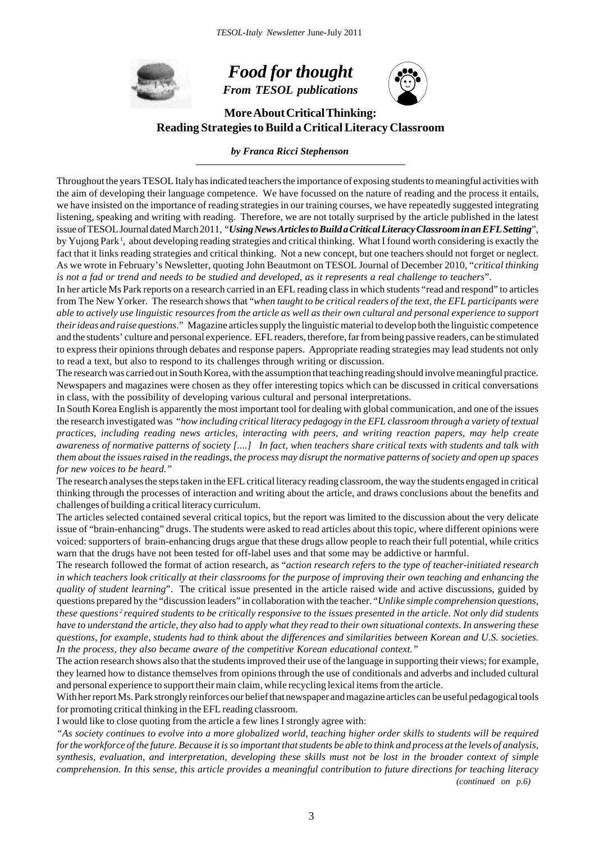

# *Food for thought*

*From TESOL publications*



**More About Critical Thinking: Reading Strategies to Build a Critical Literacy Classroom**

#### *by Franca Ricci Stephenson*

Throughout the years TESOL Italy has indicated teachers the importance of exposing students to meaningful activities with the aim of developing their language competence. We have focussed on the nature of reading and the process it entails, we have insisted on the importance of reading strategies in our training courses, we have repeatedly suggested integrating listening, speaking and writing with reading. Therefore, we are not totally surprised by the article published in the latest issue of TESOL Journal dated March 2011, "*Using News Articles to Build a Critical Literacy Classroom in an EFL Setting*", by Yujong Park 1, about developing reading strategies and critical thinking. What I found worth considering is exactly the fact that it links reading strategies and critical thinking. Not a new concept, but one teachers should not forget or neglect. As we wrote in February's Newsletter, quoting John Beautmont on TESOL Journal of December 2010, "*critical thinking is not a fad or trend and needs to be studied and developed, as it represents a real challenge to teachers*".

In her article Ms Park reports on a research carried in an EFL reading class in which students "read and respond" to articles from The New Yorker. The research shows that "*when taught to be critical readers of the text, the EFL participants were able to actively use linguistic resources from the article as well as their own cultural and personal experience to support their ideas and raise questions*." Magazine articles supply the linguistic material to develop both the linguistic competence and the students' culture and personal experience. EFL readers, therefore, far from being passive readers, can be stimulated to express their opinions through debates and response papers. Appropriate reading strategies may lead students not only to read a text, but also to respond to its challenges through writing or discussion.

The research was carried out in South Korea, with the assumption that teaching reading should involve meaningful practice. Newspapers and magazines were chosen as they offer interesting topics which can be discussed in critical conversations in class, with the possibility of developing various cultural and personal interpretations.

In South Korea English is apparently the most important tool for dealing with global communication, and one of the issues the research investigated was "*how including critical literacy pedagogy in the EFL classroom through a variety of textual practices, including reading news articles, interacting with peers, and writing reaction papers, may help create awareness of normative patterns of society [....] In fact, when teachers share critical texts with students and talk with them about the issues raised in the readings, the process may disrupt the normative patterns of society and open up spaces for new voices to be heard."*

The research analyses the steps taken in the EFL critical literacy reading classroom, the way the students engaged in critical thinking through the processes of interaction and writing about the article, and draws conclusions about the benefits and challenges of building a critical literacy curriculum.

The articles selected contained several critical topics, but the report was limited to the discussion about the very delicate issue of "brain-enhancing" drugs. The students were asked to read articles about this topic, where different opinions were voiced: supporters of brain-enhancing drugs argue that these drugs allow people to reach their full potential, while critics warn that the drugs have not been tested for off-label uses and that some may be addictive or harmful.

The research followed the format of action research, as "*action research refers to the type of teacher-initiated research in which teachers look critically at their classrooms for the purpose of improving their own teaching and enhancing the quality of student learning*". The critical issue presented in the article raised wide and active discussions, guided by questions prepared by the "discussion leaders" in collaboration with the teacher. "*Unlike simple comprehension questions, these questions 2 required students to be critically responsive to the issues presented in the article. Not only did students have to understand the article, they also had to apply what they read to their own situational contexts. In answering these questions, for example, students had to think about the differences and similarities between Korean and U.S. societies. In the process, they also became aware of the competitive Korean educational context."*

The action research shows also that the students improved their use of the language in supporting their views; for example, they learned how to distance themselves from opinions through the use of conditionals and adverbs and included cultural and personal experience to support their main claim, while recycling lexical items from the article.

With her report Ms. Park strongly reinforces our belief that newspaper and magazine articles can be useful pedagogical tools for promoting critical thinking in the EFL reading classroom.

I would like to close quoting from the article a few lines I strongly agree with:

*"As society continues to evolve into a more globalized world, teaching higher order skills to students will be required for the workforce of the future. Because it is so important that students be able to think and process at the levels of analysis, synthesis, evaluation, and interpretation, developing these skills must not be lost in the broader context of simple comprehension. In this sense, this article provides a meaningful contribution to future directions for teaching literacy*

*(continued on p.6)*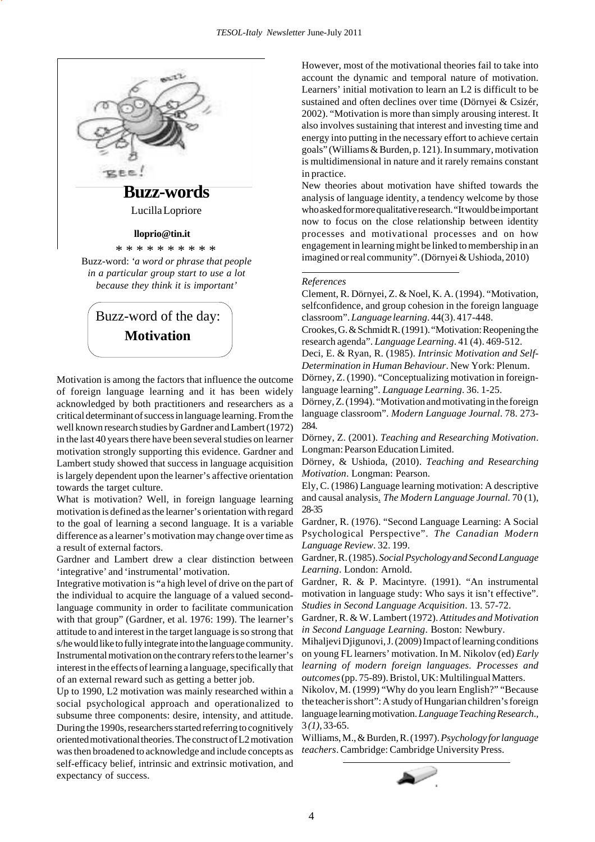

 Buzz-word of the day: **Motivation**

Motivation is among the factors that influence the outcome of foreign language learning and it has been widely acknowledged by both practitioners and researchers as a critical determinant of success in language learning. From the well known research studies by Gardner and Lambert (1972) in the last 40 years there have been several studies on learner motivation strongly supporting this evidence. Gardner and Lambert study showed that success in language acquisition is largely dependent upon the learner's affective orientation towards the target culture.

What is motivation? Well, in foreign language learning motivation is defined as the learner's orientation with regard to the goal of learning a second language. It is a variable difference as a learner's motivation may change over time as a result of external factors.

Gardner and Lambert drew a clear distinction between 'integrative' and 'instrumental' motivation.

Integrative motivation is "a high level of drive on the part of the individual to acquire the language of a valued secondlanguage community in order to facilitate communication with that group" (Gardner, et al. 1976: 199). The learner's attitude to and interest in the target language is so strong that s/he would like to fully integrate into the language community. Instrumental motivation on the contrary refers to the learner's interest in the effects of learning a language, specifically that of an external reward such as getting a better job.

Up to 1990, L2 motivation was mainly researched within a social psychological approach and operationalized to subsume three components: desire, intensity, and attitude. During the 1990s, researchers started referring to cognitively oriented motivational theories. The construct of L2 motivation was then broadened to acknowledge and include concepts as self-efficacy belief, intrinsic and extrinsic motivation, and expectancy of success.

However, most of the motivational theories fail to take into account the dynamic and temporal nature of motivation. Learners' initial motivation to learn an L2 is difficult to be sustained and often declines over time (Dörnyei & Csizér, 2002). "Motivation is more than simply arousing interest. It also involves sustaining that interest and investing time and energy into putting in the necessary effort to achieve certain goals" (Williams & Burden, p. 121). In summary, motivation is multidimensional in nature and it rarely remains constant in practice.

New theories about motivation have shifted towards the analysis of language identity, a tendency welcome by those who asked for more qualitative research. "It would be important now to focus on the close relationship between identity processes and motivational processes and on how engagement in learning might be linked to membership in an imagined or real community". (Dörnyei & Ushioda, 2010)

#### *References*

Clement, R. Dörnyei, Z. & Noel, K. A. (1994). "Motivation, selfconfidence, and group cohesion in the foreign language classroom". *Language learning*. 44(3). 417-448.

Crookes, G. & Schmidt R. (1991). "Motivation: Reopening the research agenda". *Language Learning*. 41 (4). 469-512.

Deci, E. & Ryan, R. (1985). *Intrinsic Motivation and Self-Determination in Human Behaviour*. New York: Plenum.

Dörney, Z. (1990). "Conceptualizing motivation in foreignlanguage learning". *Language Learning*. 36. 1-25.

Dörney, Z. (1994). "Motivation and motivating in the foreign language classroom". *Modern Language Journal*. 78. 273- 284.

Dörney, Z. (2001). *Teaching and Researching Motivation*. Longman: Pearson Education Limited.

Dörney, & Ushioda, (2010). *Teaching and Researching Motivation*. Longman: Pearson.

Ely, C. (1986) Language learning motivation: A descriptive and causal analysis. *The Modern Language Journal.* 70 (1), 28-35

Gardner, R. (1976). "Second Language Learning: A Social Psychological Perspective". *The Canadian Modern Language Review*. 32. 199.

Gardner, R. (1985). *Social Psychology and Second Language Learning*. London: Arnold.

Gardner, R. & P. Macintyre. (1991). "An instrumental motivation in language study: Who says it isn't effective". *Studies in Second Language Acquisition*. 13. 57-72.

Gardner, R. & W. Lambert (1972). *Attitudes and Motivation in Second Language Learning*. Boston: Newbury.

Mihaljevi Djigunovi, J. (2009) Impact of learning conditions on young FL learners' motivation. In M. Nikolov (ed) *Early learning of modern foreign languages. Processes and outcomes* (pp. 75-89). Bristol, UK: Multilingual Matters.

Nikolov, M. (1999) "Why do you learn English?" "Because the teacher is short": A study of Hungarian children's foreign language learning motivation. *Language Teaching Research*.*,* 3 *(1)*, 33-65.

Williams, M., & Burden, R. (1997). *Psychology for language teachers*. Cambridge: Cambridge University Press.

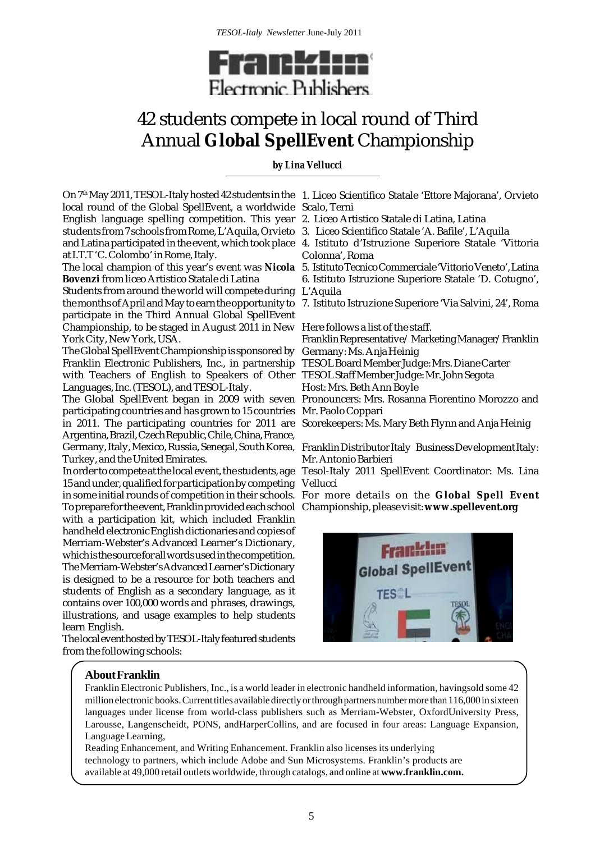

## 42 students compete in local round of Third Annual **Global SpellEvent** Championship

### *by Lina Vellucci*

On 7th May 2011, TESOL-Italy hosted 42 students in the 1. Liceo Scientifico Statale 'Ettore Majorana', Orvieto local round of the Global SpellEvent, a worldwide Scalo, Terni English language spelling competition. This year 2. Liceo Artistico Statale di Latina, Latina students from 7 schools from Rome, L'Aquila, Orvieto 3. Liceo Scientifico Statale 'A. Bafile', L'Aquila at I.T.T 'C. Colombo' in Rome, Italy.

The local champion of this year's event was **Nicola** 5. Istituto Tecnico Commerciale 'Vittorio Veneto', Latina **Bovenzi** from liceo Artistico Statale di Latina

Students from around the world will compete during L'Aquila participate in the Third Annual Global SpellEvent Championship, to be staged in August 2011 in New Here follows a list of the staff. York City, New York, USA.

The Global SpellEvent Championship is sponsored by Germany: Ms. Anja Heinig Franklin Electronic Publishers, Inc., in partnership TESOL Board Member Judge: Mrs. Diane Carter with Teachers of English to Speakers of Other TESOL Staff Member Judge: Mr. John Segota Languages, Inc. (TESOL), and TESOL-Italy.

participating countries and has grown to 15 countries Mr. Paolo Coppari in 2011. The participating countries for 2011 are Scorekeepers: Ms. Mary Beth Flynn and Anja Heinig Argentina, Brazil, Czech Republic, Chile, China, France, Germany, Italy, Mexico, Russia, Senegal, South Korea, Turkey, and the United Emirates.

In order to compete at the local event, the students, age 15 and under, qualified for participation by competing To prepare for the event, Franklin provided each school Championship, please visit: **www.spellevent.org**with a participation kit, which included Franklin handheld electronic English dictionaries and copies of Merriam-Webster's Advanced Learner's Dictionary, which is the source for all words used in the competition. The Merriam-Webster's Advanced Learner's Dictionary is designed to be a resource for both teachers and students of English as a secondary language, as it contains over 100,000 words and phrases, drawings, illustrations, and usage examples to help students learn English.

The local event hosted by TESOL-Italy featured students from the following schools:

- 
- 
- and Latina participated in the event, which took place 4. Istituto d'Istruzione Superiore Statale 'Vittoria Colonna', Roma
	-
	- 6. Istituto Istruzione Superiore Statale 'D. Cotugno',
- the months of April and May to earn the opportunity to 7. Istituto Istruzione Superiore 'Via Salvini, 24', Roma

Franklin Representative/ Marketing Manager/Franklin

Host: Mrs. Beth Ann Boyle

The Global SpellEvent began in 2009 with seven Pronouncers: Mrs. Rosanna Fiorentino Morozzo and

Franklin Distributor Italy Business Development Italy: Mr. Antonio Barbieri

Tesol-Italy 2011 SpellEvent Coordinator: Ms. Lina Vellucci

in some initial rounds of competition in their schools. For more details on the **Global Spell Event**



## **About Franklin**

Franklin Electronic Publishers, Inc., is a world leader in electronic handheld information, havingsold some 42 million electronic books. Current titles available directly or through partners number more than 116,000 in sixteen languages under license from world-class publishers such as Merriam-Webster, OxfordUniversity Press, Larousse, Langenscheidt, PONS, andHarperCollins, and are focused in four areas: Language Expansion, Language Learning,

Reading Enhancement, and Writing Enhancement. Franklin also licenses its underlying technology to partners, which include Adobe and Sun Microsystems. Franklin's products are available at 49,000 retail outlets worldwide, through catalogs, and online at **www.franklin.com.**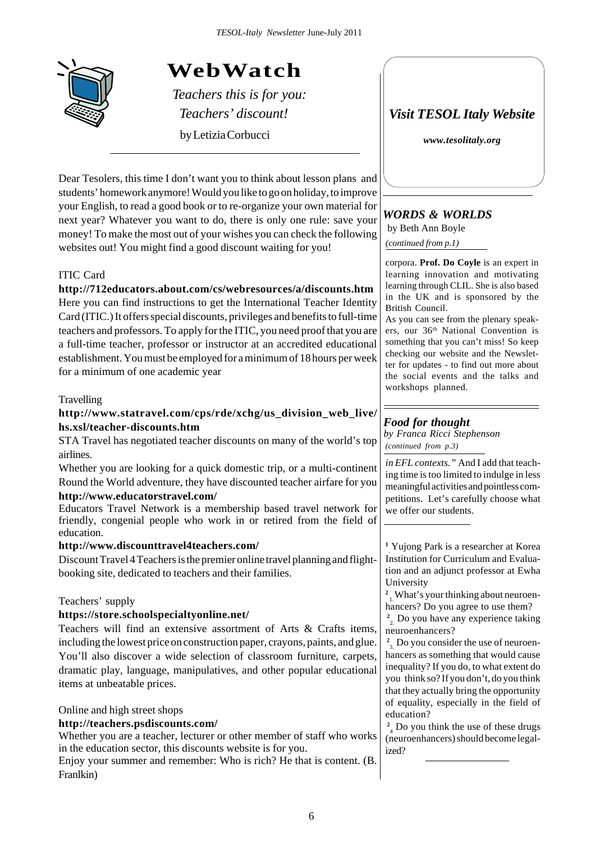

## **WebWatch**

*Teachers this is for you:*

by Letizia Corbucci

Dear Tesolers, this time I don't want you to think about lesson plans and students' homework anymore! Would you like to go on holiday, to improve your English, to read a good book or to re-organize your own material for next year? Whatever you want to do, there is only one rule: save your money! To make the most out of your wishes you can check the following websites out! You might find a good discount waiting for you!

## ITIC Card

## **http://712educators.about.com/cs/webresources/a/discounts.htm**

Here you can find instructions to get the International Teacher Identity Card (ITIC.) It offers special discounts, privileges and benefits to full-time teachers and professors. To apply for the ITIC, you need proof that you are a full-time teacher, professor or instructor at an accredited educational establishment. You must be employed for a minimum of 18 hours per week for a minimum of one academic year

## Travelling

## **http://www.statravel.com/cps/rde/xchg/us\_division\_web\_live/ hs.xsl/teacher-discounts.htm**

STA Travel has negotiated teacher discounts on many of the world's top airlines.

Whether you are looking for a quick domestic trip, or a multi-continent Round the World adventure, they have discounted teacher airfare for you **http://www.educatorstravel.com/**

Educators Travel Network is a membership based travel network for friendly, congenial people who work in or retired from the field of education.

## **http://www.discounttravel4teachers.com/**

Discount Travel 4 Teachers is the premier online travel planning and flightbooking site, dedicated to teachers and their families.

## Teachers' supply

## **https://store.schoolspecialtyonline.net/**

Teachers will find an extensive assortment of Arts & Crafts items, including the lowest price on construction paper, crayons, paints, and glue. You'll also discover a wide selection of classroom furniture, carpets, dramatic play, language, manipulatives, and other popular educational items at unbeatable prices.

## Online and high street shops

## **http://teachers.psdiscounts.com/**

Whether you are a teacher, lecturer or other member of staff who works in the education sector, this discounts website is for you.

Enjoy your summer and remember: Who is rich? He that is content. (B. Franlkin)

*Teachers' discount! Visit TESOL Italy Website*

*www.tesolitaly.org*

## *WORDS & WORLDS*

by Beth Ann Boyle

*(continued from p.1)*

corpora. **Prof. Do Coyle** is an expert in learning innovation and motivating learning through CLIL. She is also based in the UK and is sponsored by the British Council.

As you can see from the plenary speakers, our 36<sup>th</sup> National Convention is something that you can't miss! So keep checking our website and the Newsletter for updates - to find out more about the social events and the talks and workshops planned.

## *Food for thought*

*(continued from p.3) by Franca Ricci Stephenson*

*in EFL contexts."* And I add that teaching time is too limited to indulge in less meaningful activities and pointless competitions. Let's carefully choose what we offer our students.

<sup>1</sup> Yujong Park is a researcher at Korea Institution for Curriculum and Evaluation and an adjunct professor at Ewha University

**2**  1. What's your thinking about neuroenhancers? Do you agree to use them?

<sup>2</sup><sub>2</sub>. Do you have any experience taking neuroenhancers?

 $\frac{2}{3}$ . Do you consider the use of neuroenhancers as something that would cause inequality? If you do, to what extent do you think so? If you don't, do you think that they actually bring the opportunity of equality, especially in the field of education?

 $2<sub>4</sub>$  Do you think the use of these drugs (neuroenhancers) should become legalized?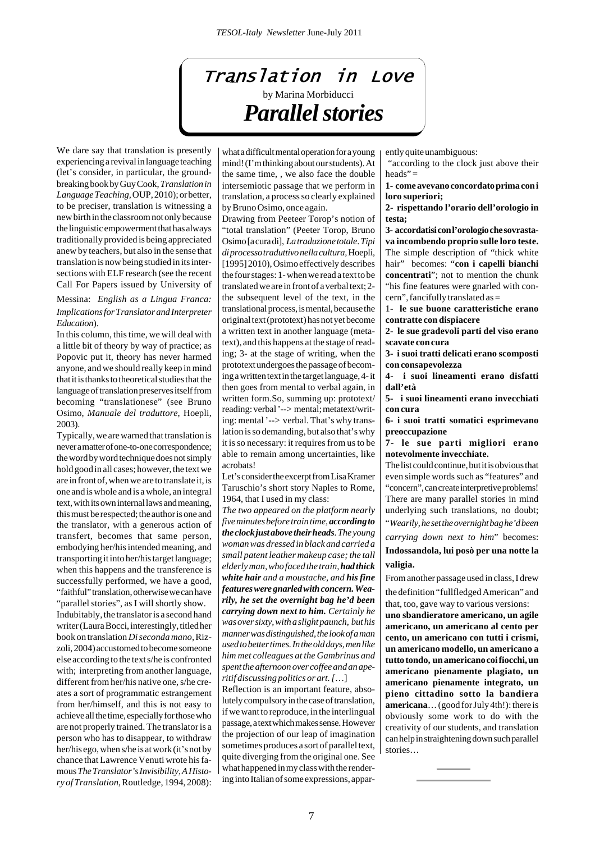# Translation in Love by Marina Morbiducci *Parallel stories*

We dare say that translation is presently experiencing a revival in language teaching (let's consider, in particular, the groundbreaking book by Guy Cook, *Translation in Language Teaching,* OUP, 2010); or better, to be preciser, translation is witnessing a new birth in the classroom not only because the linguistic empowerment that has always traditionally provided is being appreciated anew by teachers, but also in the sense that translation is now being studied in its intersections with ELF research (see the recent Call For Papers issued by University of

#### Messina: *English as a Lingua Franca: Implications for Translator and Interpreter Education*).

In this column, this time, we will deal with a little bit of theory by way of practice; as Popovic put it, theory has never harmed anyone, and we should really keep in mind that it is thanks to theoretical studies that the language of translation preserves itself from becoming "translationese" (see Bruno Osimo, *Manuale del traduttore*, Hoepli, 2003).

Typically, we are warned that translation is never a matter of one-to-one correspondence; the word by word technique does not simply hold good in all cases; however, the text we are in front of, when we are to translate it, is one and is whole and is a whole, an integral text, with its own internal laws and meaning, this must be respected; the author is one and the translator, with a generous action of transfert, becomes that same person, embodying her/his intended meaning, and transporting it into her/his target language; when this happens and the transference is successfully performed, we have a good, "faithful" translation, otherwise we can have "parallel stories", as I will shortly show. Indubitably, the translator is a second hand writer (Laura Bocci, interestingly, titled her book on translation *Di seconda mano,* Rizzoli, 2004) accustomed to become someone else according to the text s/he is confronted with; interpreting from another language, different from her/his native one, s/he creates a sort of programmatic estrangement from her/himself, and this is not easy to achieve all the time, especially for those who are not properly trained. The translator is a person who has to disappear, to withdraw her/his ego, when s/he is at work (it's not by chance that Lawrence Venuti wrote his famous *The Translator's Invisibility, A History of Translation*, Routledge, 1994, 2008):

what a difficult mental operation for a young mind! (I'm thinking about our students). At the same time, , we also face the double intersemiotic passage that we perform in translation, a process so clearly explained by Bruno Osimo, once again.

Drawing from Peeteer Torop's notion of "total translation" (Peeter Torop, Bruno Osimo [a cura di], *La traduzione totale*. *Tipi di processo traduttivo nella cultura,* Hoepli, [1995] 2010), Osimo effectively describes the four stages: 1- when we read a text to be translated we are in front of a verbal text; 2 the subsequent level of the text, in the translational process, is mental, because the original text (prototext) has not yet become a written text in another language (metatext), and this happens at the stage of reading; 3- at the stage of writing, when the prototext undergoes the passage of becoming a written text in the target language, 4- it then goes from mental to verbal again, in written form.So, summing up: prototext/ reading: verbal '--> mental; metatext/writing: mental '--> verbal. That's why translation is so demanding, but also that's why it is so necessary: it requires from us to be able to remain among uncertainties, like acrobats!

Let's consider the excerpt from Lisa Kramer Taruschio's short story Naples to Rome, 1964, that I used in my class:

*The two appeared on the platform nearly five minutes before train time, according to the clock just above their heads. The young woman was dressed in black and carried a small patent leather makeup case; the tall elderly man, who faced the train, had thick white hair and a moustache, and his fine features were gnarled with concern. Wearily, he set the overnight bag he'd been carrying down next to him. Certainly he was over sixty, with a slight paunch, but his manner was distinguished, the look of a man used to better times. In the old days, men like him met colleagues at the Gambrinus and spent the afternoon over coffee and an aperitif discussing politics or art. [*…]

Reflection is an important feature, absolutely compulsory in the case of translation, if we want to reproduce, in the interlingual passage, a text which makes sense. However the projection of our leap of imagination sometimes produces a sort of parallel text, quite diverging from the original one. See what happened in my class with the rendering into Italian of some expressions, apparently quite unambiguous:

 "according to the clock just above their heads" $=$ 

**1- come avevano concordato prima con i loro superiori;**

**2- rispettando l'orario dell'orologio in testa;**

**3- accordatisi con l'orologio che sovrastava incombendo proprio sulle loro teste.** The simple description of "thick white hair" becomes: "**con i capelli bianchi concentrati**"; not to mention the chunk "his fine features were gnarled with concern", fancifully translated as =

1- **le sue buone caratteristiche erano contratte con dispiacere**

**2- le sue gradevoli parti del viso erano scavate con cura**

**3- i suoi tratti delicati erano scomposti con consapevolezza**

**4- i suoi lineamenti erano disfatti dall'età**

**5- i suoi lineamenti erano invecchiati con cura**

**6- i suoi tratti somatici esprimevano preoccupazione**

**7- le sue parti migliori erano notevolmente invecchiate.**

The list could continue, but it is obvious that even simple words such as "features" and "concern", can create interpretive problems! There are many parallel stories in mind underlying such translations, no doubt; "*Wearily, he set the overnight bag he'd been*

*carrying down next to him*" becomes:

**Indossandola, lui posò per una notte la valigia.**

From another passage used in class, I drew the definition "fullfledged American" and that, too, gave way to various versions:

**uno sbandieratore americano, un agile americano, un americano al cento per cento, un americano con tutti i crismi, un americano modello, un americano a tutto tondo, un americano coi fiocchi, un americano pienamente plagiato, un americano pienamente integrato, un pieno cittadino sotto la bandiera americana**… (good for July 4th!): there is obviously some work to do with the creativity of our students, and translation can help in straightening down such parallel stories…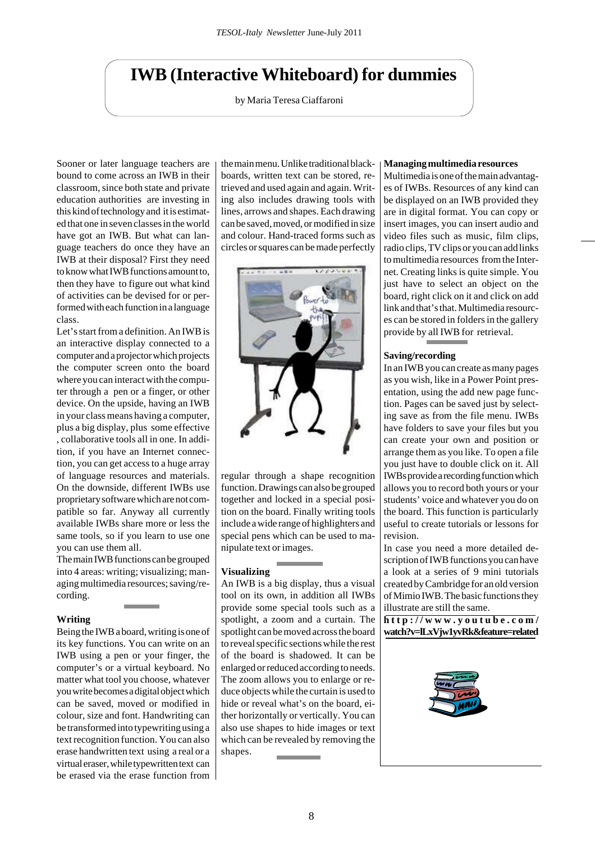## **IWB (Interactive Whiteboard) for dummies**

by Maria Teresa Ciaffaroni

Sooner or later language teachers are bound to come across an IWB in their classroom, since both state and private education authorities are investing in this kind of technology and it is estimated that one in seven classes in the world have got an IWB. But what can language teachers do once they have an IWB at their disposal? First they need to know what IWB functions amount to, then they have to figure out what kind of activities can be devised for or performed with each function in a language class.

Let's start from a definition. An IWB is an interactive display connected to a computer and a projector which projects the computer screen onto the board where you can interact with the computer through a pen or a finger, or other device. On the upside, having an IWB in your class means having a computer, plus a big display, plus some effective , collaborative tools all in one. In addition, if you have an Internet connection, you can get access to a huge array of language resources and materials. On the downside, different IWBs use proprietary software which are not compatible so far. Anyway all currently available IWBs share more or less the same tools, so if you learn to use one you can use them all.

The main IWB functions can be grouped into 4 areas: writing; visualizing; managing multimedia resources; saving/recording.

#### **Writing**

Being the IWB a board, writing is one of its key functions. You can write on an IWB using a pen or your finger, the computer's or a virtual keyboard. No matter what tool you choose, whatever you write becomes a digital object which can be saved, moved or modified in colour, size and font. Handwriting can be transformed into typewriting using a text recognition function. You can also erase handwritten text using a real or a virtual eraser, while typewritten text can be erased via the erase function from the main menu. Unlike traditional blackboards, written text can be stored, retrieved and used again and again. Writing also includes drawing tools with lines, arrows and shapes. Each drawing can be saved, moved, or modified in size and colour. Hand-traced forms such as circles or squares can be made perfectly



regular through a shape recognition function. Drawings can also be grouped together and locked in a special position on the board. Finally writing tools include a wide range of highlighters and special pens which can be used to manipulate text or images.

## **Visualizing**

An IWB is a big display, thus a visual tool on its own, in addition all IWBs provide some special tools such as a spotlight, a zoom and a curtain. The spotlight can be moved across the board to reveal specific sections while the rest of the board is shadowed. It can be enlarged or reduced according to needs. The zoom allows you to enlarge or reduce objects while the curtain is used to hide or reveal what's on the board, either horizontally or vertically. You can also use shapes to hide images or text which can be revealed by removing the shapes.

#### **Managing multimedia resources**

Multimedia is one of the main advantages of IWBs. Resources of any kind can be displayed on an IWB provided they are in digital format. You can copy or insert images, you can insert audio and video files such as music, film clips, radio clips, TV clips or you can add links to multimedia resources from the Internet. Creating links is quite simple. You just have to select an object on the board, right click on it and click on add link and that's that. Multimedia resources can be stored in folders in the gallery provide by all IWB for retrieval.

#### **Saving/recording**

In an IWB you can create as many pages as you wish, like in a Power Point presentation, using the add new page function. Pages can be saved just by selecting save as from the file menu. IWBs have folders to save your files but you can create your own and position or arrange them as you like. To open a file you just have to double click on it. All IWBs provide a recording function which allows you to record both yours or your students' voice and whatever you do on the board. This function is particularly useful to create tutorials or lessons for revision.

In case you need a more detailed description of IWB functions you can have a look at a series of 9 mini tutorials created by Cambridge for an old version of Mimio IWB. The basic functions they illustrate are still the same.

**http://www.youtube.com/ watch?v=lLxVjw1yvRk&feature=related**

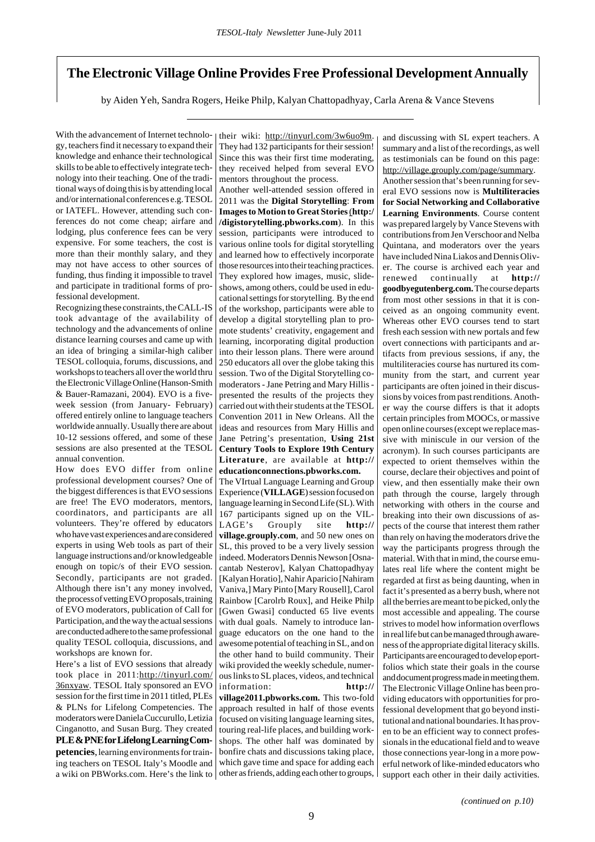## **The Electronic Village Online Provides Free Professional Development Annually**

by Aiden Yeh, Sandra Rogers, Heike Philp, Kalyan Chattopadhyay, Carla Arena & Vance Stevens

With the advancement of Internet technology, teachers find it necessary to expand their knowledge and enhance their technological skills to be able to effectively integrate technology into their teaching. One of the traditional ways of doing this is by attending local and/or international conferences e.g. TESOL or IATEFL. However, attending such conferences do not come cheap; airfare and lodging, plus conference fees can be very expensive. For some teachers, the cost is more than their monthly salary, and they may not have access to other sources of funding, thus finding it impossible to travel and participate in traditional forms of professional development.

Recognizing these constraints, the CALL-IS took advantage of the availability of technology and the advancements of online distance learning courses and came up with an idea of bringing a similar-high caliber TESOL colloquia, forums, discussions, and workshops to teachers all over the world thru the Electronic Village Online (Hanson-Smith & Bauer-Ramazani, 2004). EVO is a fiveweek session (from January- February) offered entirely online to language teachers worldwide annually. Usually there are about 10-12 sessions offered, and some of these sessions are also presented at the TESOL annual convention.

How does EVO differ from online professional development courses? One of the biggest differences is that EVO sessions are free! The EVO moderators, mentors, coordinators, and participants are all volunteers. They're offered by educators who have vast experiences and are considered experts in using Web tools as part of their language instructions and/or knowledgeable enough on topic/s of their EVO session. Secondly, participants are not graded. Although there isn't any money involved, the process of vetting EVO proposals, training of EVO moderators, publication of Call for Participation, and the way the actual sessions are conducted adhere to the same professional quality TESOL colloquia, discussions, and workshops are known for.

Here's a list of EVO sessions that already took place in 2011:http://tinyurl.com/ 36nxyaw. TESOL Italy sponsored an EVO session for the first time in 2011 titled, PLEs & PLNs for Lifelong Competencies. The moderators were Daniela Cuccurullo, Letizia Cinganotto, and Susan Burg. They created **PLE & PNE for Lifelong Learning Competencies**, learning environments for training teachers on TESOL Italy's Moodle and a wiki on PBWorks.com. Here's the link to their wiki: http://tinyurl.com/3w6uo9m. They had 132 participants for their session! Since this was their first time moderating, they received helped from several EVO mentors throughout the process.

Another well-attended session offered in 2011 was the **Digital Storytelling**: **From Images to Motion to Great Stories**(**http:/ /digistorytelling.pbworks.com**). In this session, participants were introduced to various online tools for digital storytelling and learned how to effectively incorporate those resources into their teaching practices. They explored how images, music, slideshows, among others, could be used in educational settings for storytelling. By the end of the workshop, participants were able to develop a digital storytelling plan to promote students' creativity, engagement and learning, incorporating digital production into their lesson plans. There were around 250 educators all over the globe taking this session. Two of the Digital Storytelling comoderators - Jane Petring and Mary Hillis presented the results of the projects they carried out with their students at the TESOL Convention 2011 in New Orleans. All the ideas and resources from Mary Hillis and Jane Petring's presentation, **Using 21st Century Tools to Explore 19th Century Literature**, are available at **http:// educationconnections.pbworks.com.**

The VIrtual Language Learning and Group Experience (**VILLAGE**) session focused on language learning in Second Life (SL). With 167 participants signed up on the VIL-LAGE's Grouply site **http:// village.grouply.com**, and 50 new ones on SL, this proved to be a very lively session indeed. Moderators Dennis Newson [Osnacantab Nesterov], Kalyan Chattopadhyay [Kalyan Horatio], Nahir Aparicio [Nahiram Vaniva,] Mary Pinto [Mary Rousell], Carol Rainbow [Carolrb Roux], and Heike Philp [Gwen Gwasi] conducted 65 live events with dual goals. Namely to introduce language educators on the one hand to the awesome potential of teaching in SL, and on the other hand to build community. Their wiki provided the weekly schedule, numerous links to SL places, videos, and technical information: **http:// village2011.pbworks.com.** This two-fold approach resulted in half of those events focused on visiting language learning sites, touring real-life places, and building workshops. The other half was dominated by bonfire chats and discussions taking place, which gave time and space for adding each and discussing with SL expert teachers. A summary and a list of the recordings, as well as testimonials can be found on this page: http://village.grouply.com/page/summary.

Another session that's been running for several EVO sessions now is **Multiliteracies for Social Networking and Collaborative Learning Environments**. Course content was prepared largely by Vance Stevens with contributions from Jen Verschoor and Nelba Quintana, and moderators over the years have included Nina Liakos and Dennis Oliver. The course is archived each year and renewed continually at **http:// goodbyegutenberg.com.** The course departs from most other sessions in that it is conceived as an ongoing community event. Whereas other EVO courses tend to start fresh each session with new portals and few overt connections with participants and artifacts from previous sessions, if any, the multiliteracies course has nurtured its community from the start, and current year participants are often joined in their discussions by voices from past renditions. Another way the course differs is that it adopts certain principles from MOOCs, or massive open online courses (except we replace massive with miniscule in our version of the acronym). In such courses participants are expected to orient themselves within the course, declare their objectives and point of view, and then essentially make their own path through the course, largely through networking with others in the course and breaking into their own discussions of aspects of the course that interest them rather than rely on having the moderators drive the way the participants progress through the material. With that in mind, the course emulates real life where the content might be regarded at first as being daunting, when in fact it's presented as a berry bush, where not all the berries are meant to be picked, only the most accessible and appealing. The course strives to model how information overflows in real life but can be managed through awareness of the appropriate digital literacy skills. Participants are encouraged to develop eportfolios which state their goals in the course and document progress made in meeting them. The Electronic Village Online has been providing educators with opportunities for professional development that go beyond institutional and national boundaries. It has proven to be an efficient way to connect professionals in the educational field and to weave those connections year-long in a more powerful network of like-minded educators who support each other in their daily activities.

other as friends, adding each other to groups,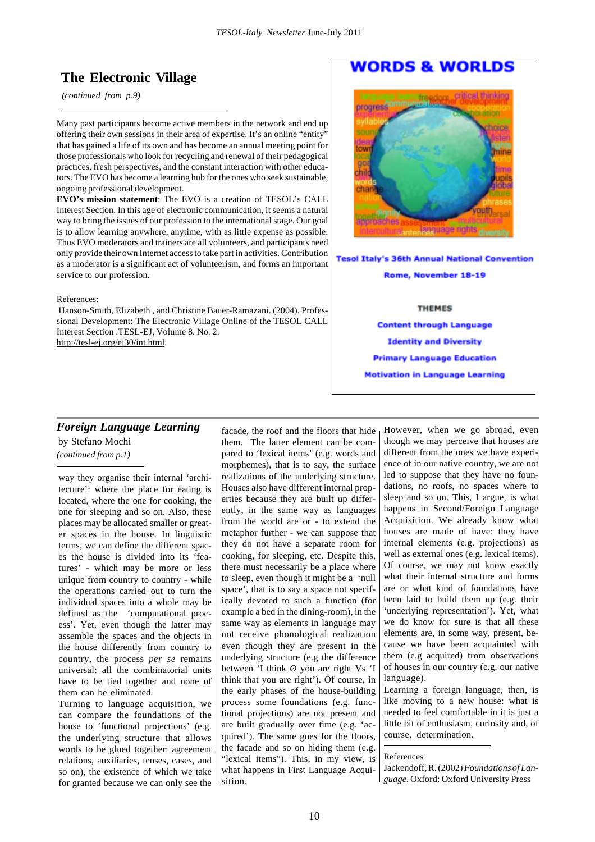## **The Electronic Village**

 *(continued from p.9)*

Many past participants become active members in the network and end up offering their own sessions in their area of expertise. It's an online "entity" that has gained a life of its own and has become an annual meeting point for those professionals who look for recycling and renewal of their pedagogical practices, fresh perspectives, and the constant interaction with other educators. The EVO has become a learning hub for the ones who seek sustainable, ongoing professional development.

**EVO's mission statement**: The EVO is a creation of TESOL's CALL Interest Section. In this age of electronic communication, it seems a natural way to bring the issues of our profession to the international stage. Our goal is to allow learning anywhere, anytime, with as little expense as possible. Thus EVO moderators and trainers are all volunteers, and participants need only provide their own Internet access to take part in activities. Contribution as a moderator is a significant act of volunteerism, and forms an important service to our profession.

#### References:

 Hanson-Smith, Elizabeth , and Christine Bauer-Ramazani. (2004). Professional Development: The Electronic Village Online of the TESOL CALL Interest Section .TESL-EJ, Volume 8. No. 2. http://tesl-ej.org/ej30/int.html.

## **WORDS & WORLDS**



**Tesol Italy's 36th Annual National Convention** 

Rome, November 18-19

#### **THEMES**

**Content through Language Identity and Diversity Primary Language Education Motivation in Language Learning** 

## *Foreign Language Learning* by Stefano Mochi

*(continued from p.1)*

way they organise their internal 'architecture': where the place for eating is located, where the one for cooking, the one for sleeping and so on. Also, these places may be allocated smaller or greater spaces in the house. In linguistic terms, we can define the different spaces the house is divided into its 'features' - which may be more or less unique from country to country - while the operations carried out to turn the individual spaces into a whole may be defined as the 'computational process'. Yet, even though the latter may assemble the spaces and the objects in the house differently from country to country, the process *per se* remains universal: all the combinatorial units have to be tied together and none of them can be eliminated.

Turning to language acquisition, we can compare the foundations of the house to 'functional projections' (e.g. the underlying structure that allows words to be glued together: agreement relations, auxiliaries, tenses, cases, and so on), the existence of which we take for granted because we can only see the

facade, the roof and the floors that hide them. The latter element can be compared to 'lexical items' (e.g. words and morphemes), that is to say, the surface realizations of the underlying structure. Houses also have different internal properties because they are built up differently, in the same way as languages from the world are or - to extend the metaphor further - we can suppose that they do not have a separate room for cooking, for sleeping, etc. Despite this, there must necessarily be a place where to sleep, even though it might be a 'null space', that is to say a space not specifically devoted to such a function (for example a bed in the dining-room), in the same way as elements in language may not receive phonological realization even though they are present in the underlying structure (e.g the difference between 'I think *Ø* you are right Vs 'I think that you are right'). Of course, in the early phases of the house-building process some foundations (e.g. functional projections) are not present and are built gradually over time (e.g. 'acquired'). The same goes for the floors, the facade and so on hiding them (e.g. "lexical items"). This, in my view, is what happens in First Language Acquisition.

However, when we go abroad, even though we may perceive that houses are different from the ones we have experience of in our native country, we are not led to suppose that they have no foundations, no roofs, no spaces where to sleep and so on. This, I argue, is what happens in Second/Foreign Language Acquisition. We already know what houses are made of have: they have internal elements (e.g. projections) as well as external ones (e.g. lexical items). Of course, we may not know exactly what their internal structure and forms are or what kind of foundations have been laid to build them up (e.g. their 'underlying representation'). Yet, what we do know for sure is that all these elements are, in some way, present, because we have been acquainted with them (e.g acquired) from observations of houses in our country (e.g. our native language).

Learning a foreign language, then, is like moving to a new house: what is needed to feel comfortable in it is just a little bit of enthusiasm, curiosity and, of course, determination.

#### References

Jackendoff, R. (2002) *Foundations of Language*. Oxford: Oxford University Press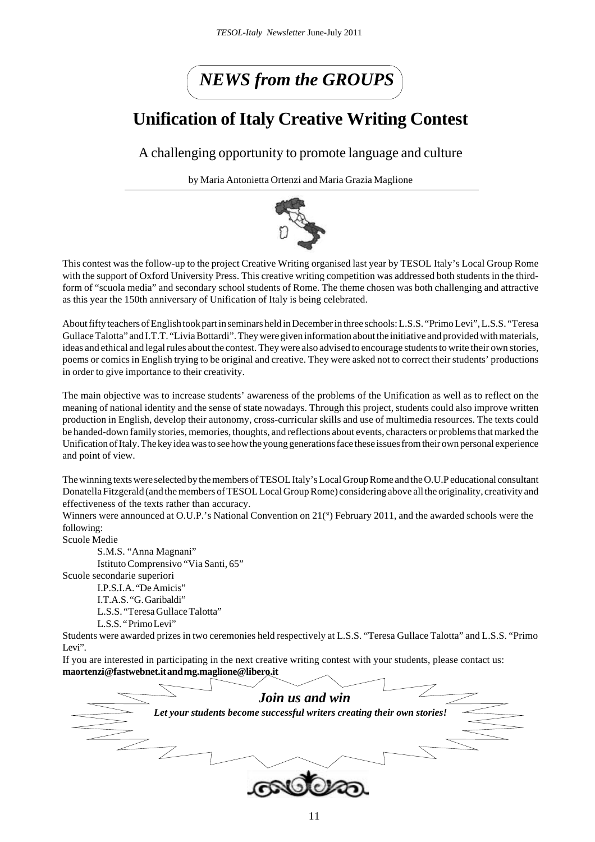# *NEWS from the GROUPS*

## **Unification of Italy Creative Writing Contest**

## A challenging opportunity to promote language and culture

by Maria Antonietta Ortenzi and Maria Grazia Maglione



This contest was the follow-up to the project Creative Writing organised last year by TESOL Italy's Local Group Rome with the support of Oxford University Press. This creative writing competition was addressed both students in the thirdform of "scuola media" and secondary school students of Rome. The theme chosen was both challenging and attractive as this year the 150th anniversary of Unification of Italy is being celebrated.

About fifty teachers of English took part in seminars held in December in three schools: L.S.S. "Primo Levi", L.S.S. "Teresa Gullace Talotta" and I.T.T. "Livia Bottardi". They were given information about the initiative and provided with materials, ideas and ethical and legalrules about the contest. They were also advised to encourage students to write their own stories, poems or comics in English trying to be original and creative. They were asked not to correct their students' productions in order to give importance to their creativity.

The main objective was to increase students' awareness of the problems of the Unification as well as to reflect on the meaning of national identity and the sense of state nowadays. Through this project, students could also improve written production in English, develop their autonomy, cross-curricular skills and use of multimedia resources. The texts could be handed-down family stories, memories, thoughts, and reflections about events, characters or problems that marked the Unification of Italy. The key idea was to see how the young generations face these issues from their own personal experience and point of view.

The winning texts were selected by the members of TESOL Italy's Local Group Rome and the O.U.P educational consultant Donatella Fitzgerald (and the members of TESOL Local Group Rome) considering above all the originality, creativity and effectiveness of the texts rather than accuracy.

Winners were announced at O.U.P.'s National Convention on 21(st) February 2011, and the awarded schools were the following:

Scuole Medie

S.M.S. "Anna Magnani"

Istituto Comprensivo "Via Santi, 65"

Scuole secondarie superiori

I.P.S.I.A. "De Amicis"

I.T.A.S. "G. Garibaldi"

L.S.S. "Teresa Gullace Talotta"

L.S.S. " Primo Levi"

Students were awarded prizes in two ceremonies held respectively at L.S.S. "Teresa Gullace Talotta" and L.S.S. "Primo Levi".

If you are interested in participating in the next creative writing contest with your students, please contact us: **maortenzi@fastwebnet.it and mg.maglione@libero.it**

| Join us and win                                                         |
|-------------------------------------------------------------------------|
| Let your students become successful writers creating their own stories! |
|                                                                         |
|                                                                         |
|                                                                         |
|                                                                         |
|                                                                         |